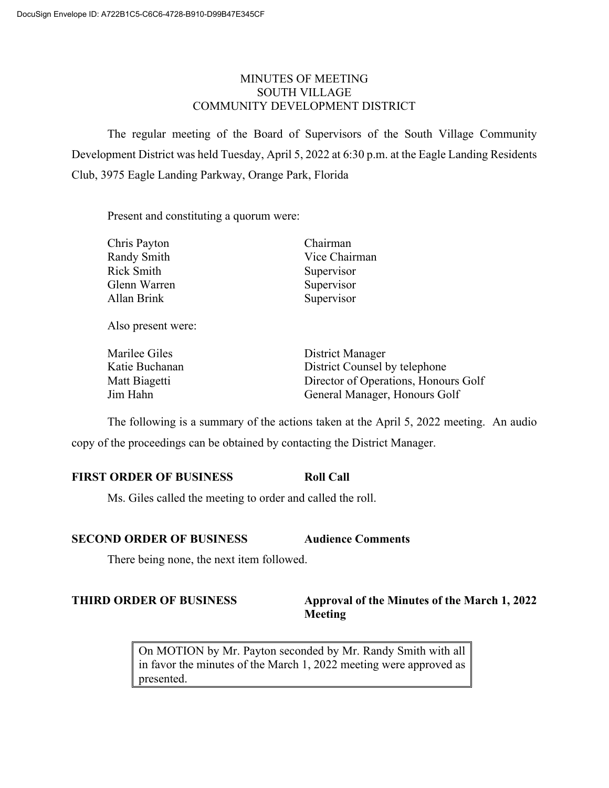# MINUTES OF MEETING SOUTH VILLAGE COMMUNITY DEVELOPMENT DISTRICT

The regular meeting of the Board of Supervisors of the South Village Community Development District was held Tuesday, April 5, 2022 at 6:30 p.m. at the Eagle Landing Residents Club, 3975 Eagle Landing Parkway, Orange Park, Florida

Present and constituting a quorum were:

| Chris Payton       | Chairman      |
|--------------------|---------------|
| Randy Smith        | Vice Chairman |
| <b>Rick Smith</b>  | Supervisor    |
| Glenn Warren       | Supervisor    |
| Allan Brink        | Supervisor    |
| Also present were: |               |

| Marilee Giles  | District Manager                     |
|----------------|--------------------------------------|
| Katie Buchanan | District Counsel by telephone        |
| Matt Biagetti  | Director of Operations, Honours Golf |
| Jim Hahn       | General Manager, Honours Golf        |

The following is a summary of the actions taken at the April 5, 2022 meeting. An audio copy of the proceedings can be obtained by contacting the District Manager.

# **FIRST ORDER OF BUSINESS Roll Call**

Ms. Giles called the meeting to order and called the roll.

## **SECOND ORDER OF BUSINESS Audience Comments**

There being none, the next item followed.

## **THIRD ORDER OF BUSINESS Approval of the Minutes of the March 1, 2022 Meeting**

On MOTION by Mr. Payton seconded by Mr. Randy Smith with all in favor the minutes of the March 1, 2022 meeting were approved as presented.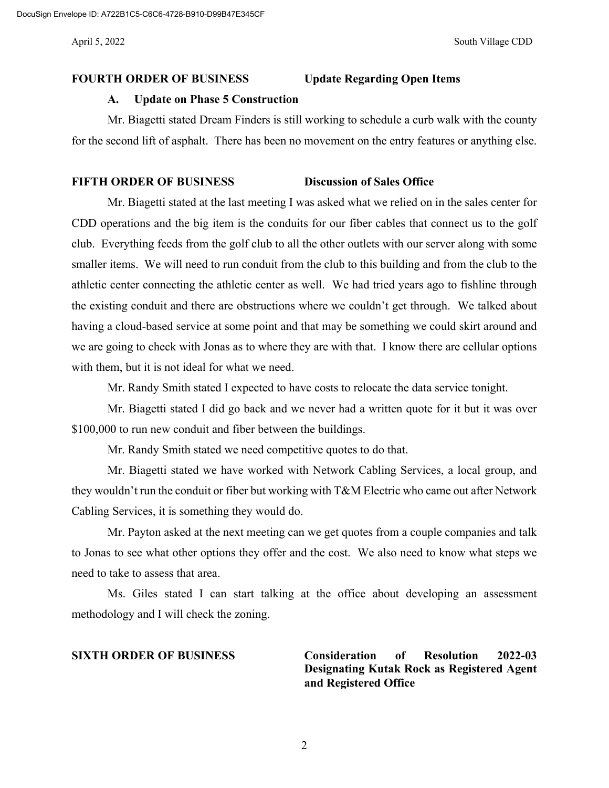### **FOURTH ORDER OF BUSINESS Update Regarding Open Items**

#### **A. Update on Phase 5 Construction**

Mr. Biagetti stated Dream Finders is still working to schedule a curb walk with the county for the second lift of asphalt. There has been no movement on the entry features or anything else.

## **FIFTH ORDER OF BUSINESS Discussion of Sales Office**

Mr. Biagetti stated at the last meeting I was asked what we relied on in the sales center for CDD operations and the big item is the conduits for our fiber cables that connect us to the golf club. Everything feeds from the golf club to all the other outlets with our server along with some smaller items. We will need to run conduit from the club to this building and from the club to the athletic center connecting the athletic center as well. We had tried years ago to fishline through the existing conduit and there are obstructions where we couldn't get through. We talked about having a cloud-based service at some point and that may be something we could skirt around and we are going to check with Jonas as to where they are with that. I know there are cellular options with them, but it is not ideal for what we need.

Mr. Randy Smith stated I expected to have costs to relocate the data service tonight.

Mr. Biagetti stated I did go back and we never had a written quote for it but it was over \$100,000 to run new conduit and fiber between the buildings.

Mr. Randy Smith stated we need competitive quotes to do that.

Mr. Biagetti stated we have worked with Network Cabling Services, a local group, and they wouldn't run the conduit or fiber but working with T&M Electric who came out after Network Cabling Services, it is something they would do.

Mr. Payton asked at the next meeting can we get quotes from a couple companies and talk to Jonas to see what other options they offer and the cost. We also need to know what steps we need to take to assess that area.

Ms. Giles stated I can start talking at the office about developing an assessment methodology and I will check the zoning.

**SIXTH ORDER OF BUSINESS Consideration of Resolution 2022-03 Designating Kutak Rock as Registered Agent and Registered Office**

2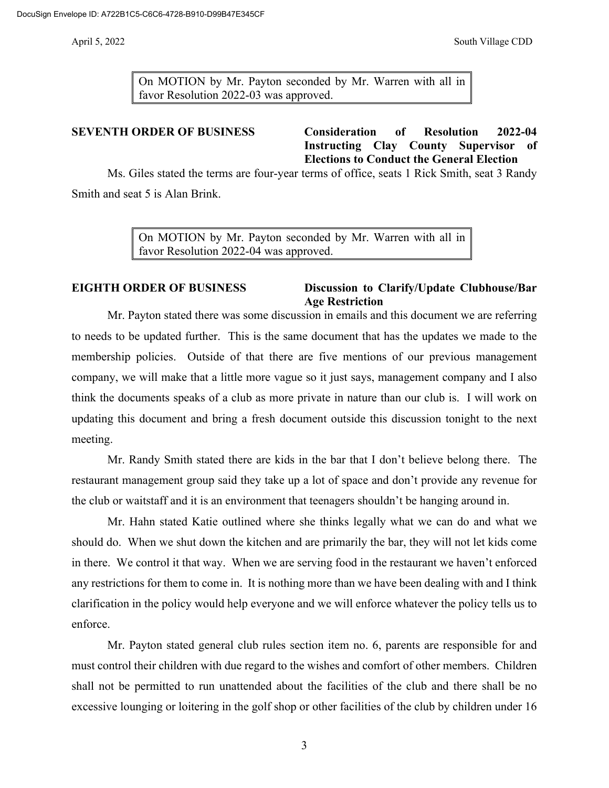On MOTION by Mr. Payton seconded by Mr. Warren with all in favor Resolution 2022-03 was approved.

**SEVENTH ORDER OF BUSINESS Consideration of Resolution 2022-04 Instructing Clay County Supervisor of Elections to Conduct the General Election**

Ms. Giles stated the terms are four-year terms of office, seats 1 Rick Smith, seat 3 Randy Smith and seat 5 is Alan Brink.

> On MOTION by Mr. Payton seconded by Mr. Warren with all in favor Resolution 2022-04 was approved.

## **EIGHTH ORDER OF BUSINESS Discussion to Clarify/Update Clubhouse/Bar Age Restriction**

Mr. Payton stated there was some discussion in emails and this document we are referring to needs to be updated further. This is the same document that has the updates we made to the membership policies. Outside of that there are five mentions of our previous management company, we will make that a little more vague so it just says, management company and I also think the documents speaks of a club as more private in nature than our club is. I will work on updating this document and bring a fresh document outside this discussion tonight to the next meeting.

Mr. Randy Smith stated there are kids in the bar that I don't believe belong there. The restaurant management group said they take up a lot of space and don't provide any revenue for the club or waitstaff and it is an environment that teenagers shouldn't be hanging around in.

Mr. Hahn stated Katie outlined where she thinks legally what we can do and what we should do. When we shut down the kitchen and are primarily the bar, they will not let kids come in there. We control it that way. When we are serving food in the restaurant we haven't enforced any restrictions for them to come in. It is nothing more than we have been dealing with and I think clarification in the policy would help everyone and we will enforce whatever the policy tells us to enforce.

Mr. Payton stated general club rules section item no. 6, parents are responsible for and must control their children with due regard to the wishes and comfort of other members. Children shall not be permitted to run unattended about the facilities of the club and there shall be no excessive lounging or loitering in the golf shop or other facilities of the club by children under 16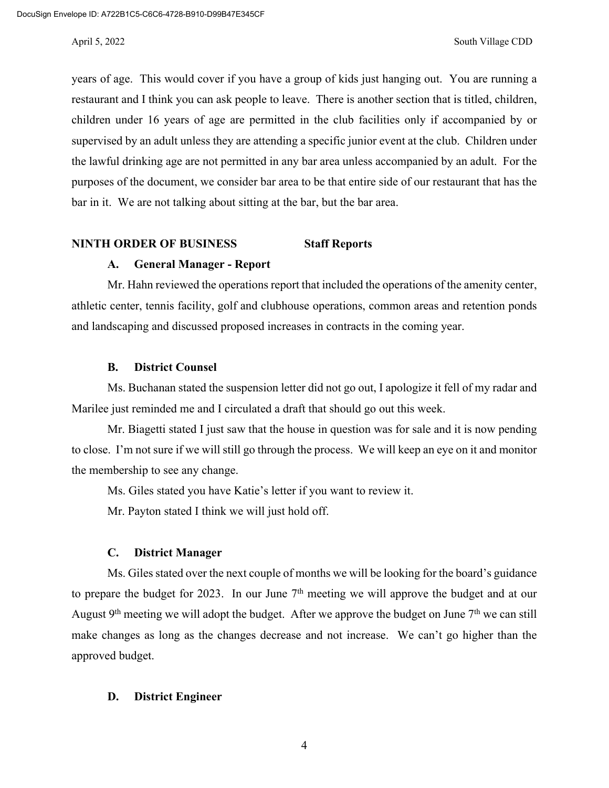years of age. This would cover if you have a group of kids just hanging out. You are running a restaurant and I think you can ask people to leave. There is another section that is titled, children, children under 16 years of age are permitted in the club facilities only if accompanied by or supervised by an adult unless they are attending a specific junior event at the club. Children under the lawful drinking age are not permitted in any bar area unless accompanied by an adult. For the purposes of the document, we consider bar area to be that entire side of our restaurant that has the bar in it. We are not talking about sitting at the bar, but the bar area.

### **NINTH ORDER OF BUSINESS Staff Reports**

### **A. General Manager - Report**

Mr. Hahn reviewed the operations report that included the operations of the amenity center, athletic center, tennis facility, golf and clubhouse operations, common areas and retention ponds and landscaping and discussed proposed increases in contracts in the coming year.

### **B. District Counsel**

Ms. Buchanan stated the suspension letter did not go out, I apologize it fell of my radar and Marilee just reminded me and I circulated a draft that should go out this week.

Mr. Biagetti stated I just saw that the house in question was for sale and it is now pending to close. I'm not sure if we will still go through the process. We will keep an eye on it and monitor the membership to see any change.

Ms. Giles stated you have Katie's letter if you want to review it.

Mr. Payton stated I think we will just hold off.

#### **C. District Manager**

Ms. Giles stated over the next couple of months we will be looking for the board's guidance to prepare the budget for 2023. In our June  $7<sup>th</sup>$  meeting we will approve the budget and at our August  $9<sup>th</sup>$  meeting we will adopt the budget. After we approve the budget on June  $7<sup>th</sup>$  we can still make changes as long as the changes decrease and not increase. We can't go higher than the approved budget.

#### **D. District Engineer**

4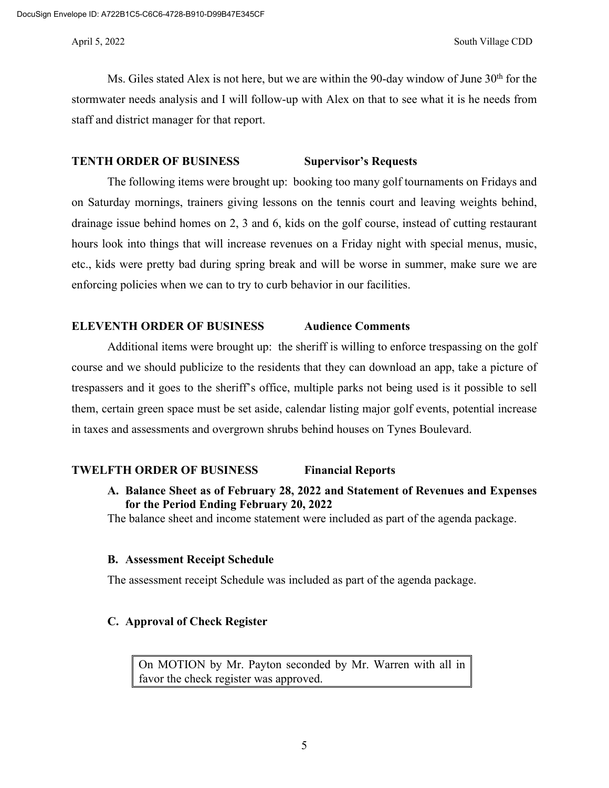Ms. Giles stated Alex is not here, but we are within the 90-day window of June  $30<sup>th</sup>$  for the stormwater needs analysis and I will follow-up with Alex on that to see what it is he needs from staff and district manager for that report.

#### **TENTH ORDER OF BUSINESS Supervisor's Requests**

The following items were brought up: booking too many golf tournaments on Fridays and on Saturday mornings, trainers giving lessons on the tennis court and leaving weights behind, drainage issue behind homes on 2, 3 and 6, kids on the golf course, instead of cutting restaurant hours look into things that will increase revenues on a Friday night with special menus, music, etc., kids were pretty bad during spring break and will be worse in summer, make sure we are enforcing policies when we can to try to curb behavior in our facilities.

#### **ELEVENTH ORDER OF BUSINESS Audience Comments**

Additional items were brought up: the sheriff is willing to enforce trespassing on the golf course and we should publicize to the residents that they can download an app, take a picture of trespassers and it goes to the sheriff's office, multiple parks not being used is it possible to sell them, certain green space must be set aside, calendar listing major golf events, potential increase in taxes and assessments and overgrown shrubs behind houses on Tynes Boulevard.

### **TWELFTH ORDER OF BUSINESS Financial Reports**

**A. Balance Sheet as of February 28, 2022 and Statement of Revenues and Expenses for the Period Ending February 20, 2022**

The balance sheet and income statement were included as part of the agenda package.

### **B. Assessment Receipt Schedule**

The assessment receipt Schedule was included as part of the agenda package.

## **C. Approval of Check Register**

On MOTION by Mr. Payton seconded by Mr. Warren with all in favor the check register was approved.